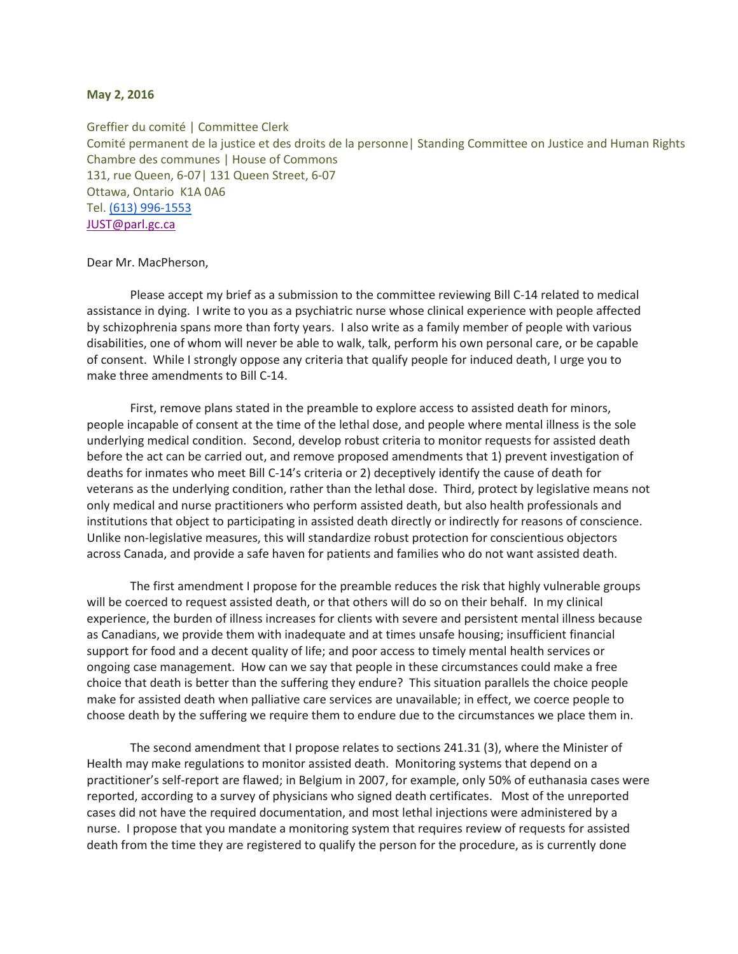## **May 2, 2016**

Greffier du comité | Committee Clerk Comité permanent de la justice et des droits de la personne| Standing Committee on Justice and Human Rights Chambre des communes | House of Commons 131, rue Queen, 6-07| 131 Queen Street, 6-07 Ottawa, Ontario K1A 0A6 Tel. [\(613\) 996-1553](tel:%28613%29%20996-1553) [JUST@parl.gc.ca](mailto:JUST@parl.gc.ca)

## Dear Mr. MacPherson,

Please accept my brief as a submission to the committee reviewing Bill C-14 related to medical assistance in dying. I write to you as a psychiatric nurse whose clinical experience with people affected by schizophrenia spans more than forty years. I also write as a family member of people with various disabilities, one of whom will never be able to walk, talk, perform his own personal care, or be capable of consent. While I strongly oppose any criteria that qualify people for induced death, I urge you to make three amendments to Bill C-14.

First, remove plans stated in the preamble to explore access to assisted death for minors, people incapable of consent at the time of the lethal dose, and people where mental illness is the sole underlying medical condition. Second, develop robust criteria to monitor requests for assisted death before the act can be carried out, and remove proposed amendments that 1) prevent investigation of deaths for inmates who meet Bill C-14's criteria or 2) deceptively identify the cause of death for veterans as the underlying condition, rather than the lethal dose. Third, protect by legislative means not only medical and nurse practitioners who perform assisted death, but also health professionals and institutions that object to participating in assisted death directly or indirectly for reasons of conscience. Unlike non-legislative measures, this will standardize robust protection for conscientious objectors across Canada, and provide a safe haven for patients and families who do not want assisted death.

The first amendment I propose for the preamble reduces the risk that highly vulnerable groups will be coerced to request assisted death, or that others will do so on their behalf. In my clinical experience, the burden of illness increases for clients with severe and persistent mental illness because as Canadians, we provide them with inadequate and at times unsafe housing; insufficient financial support for food and a decent quality of life; and poor access to timely mental health services or ongoing case management. How can we say that people in these circumstances could make a free choice that death is better than the suffering they endure? This situation parallels the choice people make for assisted death when palliative care services are unavailable; in effect, we coerce people to choose death by the suffering we require them to endure due to the circumstances we place them in.

The second amendment that I propose relates to sections 241.31 (3), where the Minister of Health may make regulations to monitor assisted death. Monitoring systems that depend on a practitioner's self-report are flawed; in Belgium in 2007, for example, only 50% of euthanasia cases were reported, according to a survey of physicians who signed death certificates. Most of the unreported cases did not have the required documentation, and most lethal injections were administered by a nurse. I propose that you mandate a monitoring system that requires review of requests for assisted death from the time they are registered to qualify the person for the procedure, as is currently done